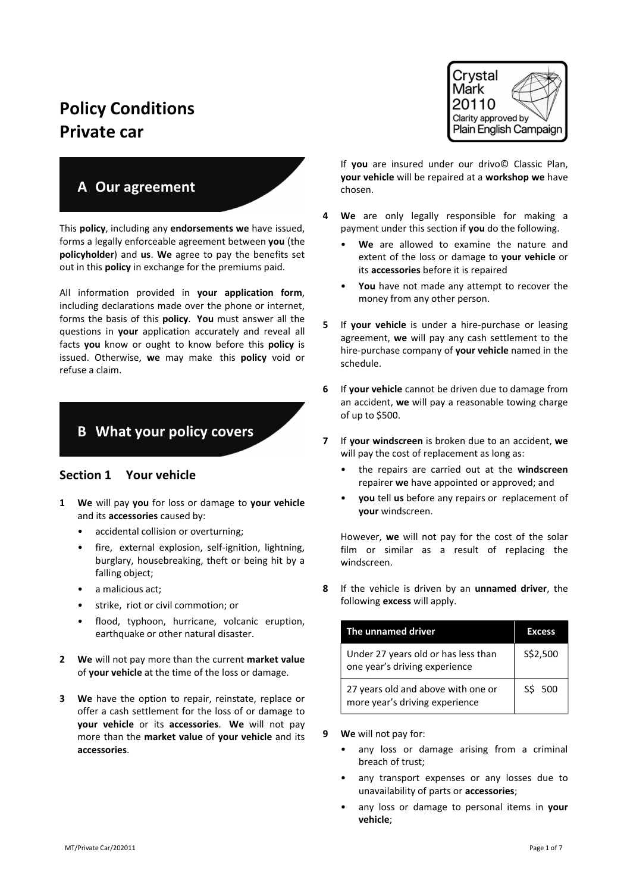# Policy Conditions Private car

# A Our agreement

This policy, including any endorsements we have issued, forms a legally enforceable agreement between you (the policyholder) and us. We agree to pay the benefits set out in this **policy** in exchange for the premiums paid.

All information provided in your application form, including declarations made over the phone or internet, forms the basis of this policy. You must answer all the questions in your application accurately and reveal all facts you know or ought to know before this policy is issued. Otherwise, we may make this policy void or refuse a claim.

## B What your policy covers

### Section 1 Your vehicle

- 1 We will pay you for loss or damage to your vehicle and its accessories caused by:
	- accidental collision or overturning;
	- fire, external explosion, self-ignition, lightning, burglary, housebreaking, theft or being hit by a falling object;
	- a malicious act;
	- strike, riot or civil commotion; or
	- flood, typhoon, hurricane, volcanic eruption, earthquake or other natural disaster.
- **2** We will not pay more than the current market value of your vehicle at the time of the loss or damage.
- **3** We have the option to repair, reinstate, replace or offer a cash settlement for the loss of or damage to your vehicle or its accessories. We will not pay more than the market value of your vehicle and its accessories.



If you are insured under our drivo© Classic Plan, your vehicle will be repaired at a workshop we have chosen.

- 4 We are only legally responsible for making a payment under this section if you do the following.
	- We are allowed to examine the nature and extent of the loss or damage to your vehicle or its accessories before it is repaired
	- You have not made any attempt to recover the money from any other person.
- 5 If your vehicle is under a hire-purchase or leasing agreement, we will pay any cash settlement to the hire-purchase company of your vehicle named in the schedule.
- 6 If your vehicle cannot be driven due to damage from an accident, we will pay a reasonable towing charge of up to \$500.
- 7 If your windscreen is broken due to an accident, we will pay the cost of replacement as long as:
	- the repairs are carried out at the windscreen repairer we have appointed or approved; and
	- you tell us before any repairs or replacement of your windscreen.

However, we will not pay for the cost of the solar film or similar as a result of replacing the windscreen.

8 If the vehicle is driven by an unnamed driver, the following excess will apply.

| The unnamed driver                                                   | <b>Excess</b> |
|----------------------------------------------------------------------|---------------|
| Under 27 years old or has less than<br>one year's driving experience | S\$2,500      |
| 27 years old and above with one or<br>more year's driving experience | S\$ 500       |

- 9 We will not pay for:
	- any loss or damage arising from a criminal breach of trust;
	- any transport expenses or any losses due to unavailability of parts or accessories;
	- any loss or damage to personal items in your vehicle;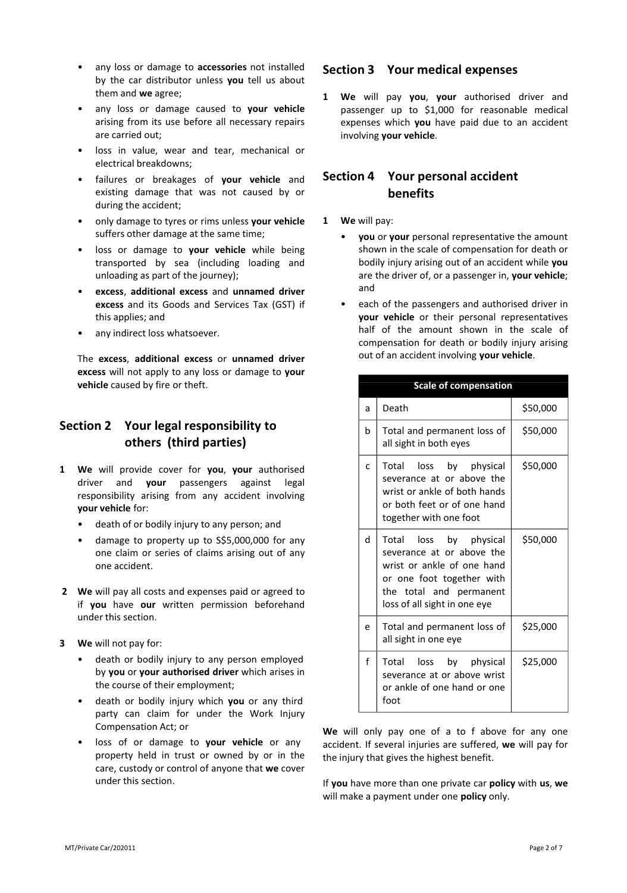- any loss or damage to accessories not installed by the car distributor unless you tell us about them and we agree;
- any loss or damage caused to your vehicle arising from its use before all necessary repairs are carried out;
- loss in value, wear and tear, mechanical or electrical breakdowns;
- failures or breakages of your vehicle and existing damage that was not caused by or during the accident;
- only damage to tyres or rims unless your vehicle suffers other damage at the same time;
- loss or damage to your vehicle while being transported by sea (including loading and unloading as part of the journey);
- excess, additional excess and unnamed driver excess and its Goods and Services Tax (GST) if this applies; and
- any indirect loss whatsoever.

The excess, additional excess or unnamed driver excess will not apply to any loss or damage to your vehicle caused by fire or theft.

### Section 2 Your legal responsibility to others (third parties)

- 1 We will provide cover for you, your authorised driver and your passengers against legal responsibility arising from any accident involving your vehicle for:
	- death of or bodily injury to any person; and
	- damage to property up to S\$5,000,000 for any one claim or series of claims arising out of any one accident.
- 2 We will pay all costs and expenses paid or agreed to if you have our written permission beforehand under this section.
- 3 We will not pay for:
	- death or bodily injury to any person employed by you or your authorised driver which arises in the course of their employment;
	- death or bodily injury which you or any third party can claim for under the Work Injury Compensation Act; or
	- loss of or damage to your vehicle or any property held in trust or owned by or in the care, custody or control of anyone that we cover under this section.

#### Section 3 Your medical expenses

1 We will pay you, your authorised driver and passenger up to \$1,000 for reasonable medical expenses which you have paid due to an accident involving your vehicle.

### Section 4 Your personal accident benefits

- 1 We will pay:
	- you or your personal representative the amount shown in the scale of compensation for death or bodily injury arising out of an accident while you are the driver of, or a passenger in, your vehicle; and
	- each of the passengers and authorised driver in your vehicle or their personal representatives half of the amount shown in the scale of compensation for death or bodily injury arising out of an accident involving your vehicle.

| <b>Scale of compensation</b> |                                                                                                                                                                           |          |
|------------------------------|---------------------------------------------------------------------------------------------------------------------------------------------------------------------------|----------|
| a                            | Death                                                                                                                                                                     | \$50,000 |
| b                            | Total and permanent loss of<br>all sight in both eyes                                                                                                                     | \$50,000 |
| C                            | Total<br>loss by physical<br>severance at or above the<br>wrist or ankle of both hands<br>or both feet or of one hand<br>together with one foot                           | \$50,000 |
| d                            | Total loss by physical<br>severance at or above the<br>wrist or ankle of one hand<br>or one foot together with<br>the total and permanent<br>loss of all sight in one eye | \$50,000 |
| e                            | Total and permanent loss of<br>all sight in one eye                                                                                                                       | \$25,000 |
| f                            | Total<br>loss by physical<br>severance at or above wrist<br>or ankle of one hand or one<br>foot                                                                           | \$25,000 |

We will only pay one of a to f above for any one accident. If several injuries are suffered, we will pay for the injury that gives the highest benefit.

If you have more than one private car policy with us, we will make a payment under one policy only.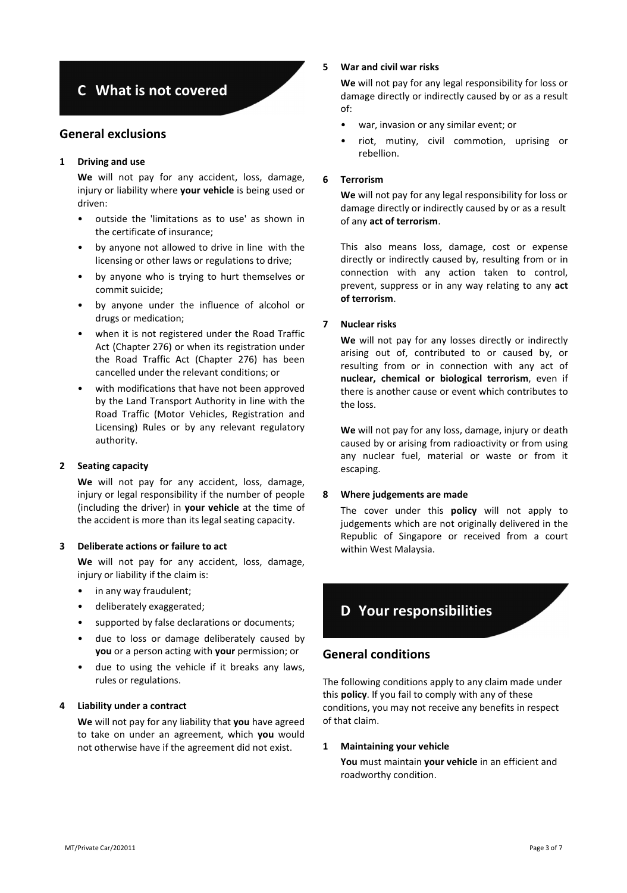## C What is not covered

#### General exclusions

#### 1 Driving and use

We will not pay for any accident, loss, damage, injury or liability where your vehicle is being used or driven:

- outside the 'limitations as to use' as shown in the certificate of insurance;
- by anyone not allowed to drive in line with the licensing or other laws or regulations to drive;
- by anyone who is trying to hurt themselves or commit suicide;
- by anyone under the influence of alcohol or drugs or medication;
- when it is not registered under the Road Traffic Act (Chapter 276) or when its registration under the Road Traffic Act (Chapter 276) has been cancelled under the relevant conditions; or
- with modifications that have not been approved by the Land Transport Authority in line with the Road Traffic (Motor Vehicles, Registration and Licensing) Rules or by any relevant regulatory authority.

#### 2 Seating capacity

We will not pay for any accident, loss, damage, injury or legal responsibility if the number of people (including the driver) in your vehicle at the time of the accident is more than its legal seating capacity.

#### 3 Deliberate actions or failure to act

We will not pay for any accident, loss, damage, injury or liability if the claim is:

- in any way fraudulent;
- deliberately exaggerated;
- supported by false declarations or documents;
- due to loss or damage deliberately caused by you or a person acting with your permission; or
- due to using the vehicle if it breaks any laws, rules or regulations.

#### 4 Liability under a contract

We will not pay for any liability that you have agreed to take on under an agreement, which you would not otherwise have if the agreement did not exist.

#### 5 War and civil war risks

We will not pay for any legal responsibility for loss or damage directly or indirectly caused by or as a result of:

- war, invasion or any similar event; or
- riot, mutiny, civil commotion, uprising or rebellion.

#### 6 Terrorism

We will not pay for any legal responsibility for loss or damage directly or indirectly caused by or as a result of any act of terrorism.

This also means loss, damage, cost or expense directly or indirectly caused by, resulting from or in connection with any action taken to control, prevent, suppress or in any way relating to any act of terrorism.

#### 7 Nuclear risks

We will not pay for any losses directly or indirectly arising out of, contributed to or caused by, or resulting from or in connection with any act of nuclear, chemical or biological terrorism, even if there is another cause or event which contributes to the loss.

We will not pay for any loss, damage, injury or death caused by or arising from radioactivity or from using any nuclear fuel, material or waste or from it escaping.

#### 8 Where judgements are made

The cover under this **policy** will not apply to judgements which are not originally delivered in the Republic of Singapore or received from a court within West Malaysia.

## D Your responsibilities

### General conditions

The following conditions apply to any claim made under this policy. If you fail to comply with any of these conditions, you may not receive any benefits in respect of that claim.

#### 1 Maintaining your vehicle

You must maintain your vehicle in an efficient and roadworthy condition.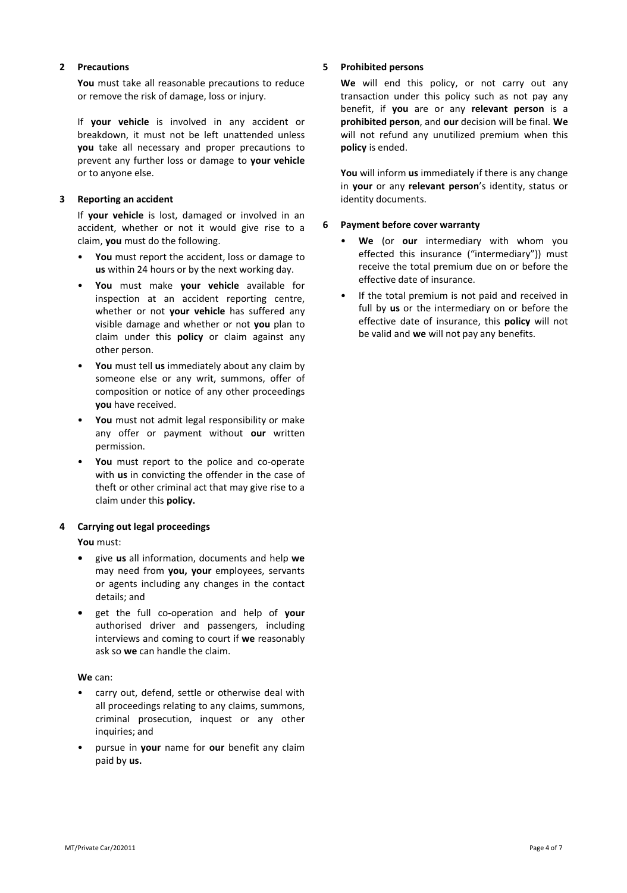#### 2 Precautions

You must take all reasonable precautions to reduce or remove the risk of damage, loss or injury.

If **your vehicle** is involved in any accident or breakdown, it must not be left unattended unless you take all necessary and proper precautions to prevent any further loss or damage to your vehicle or to anyone else.

#### 3 Reporting an accident

If your vehicle is lost, damaged or involved in an accident, whether or not it would give rise to a claim, you must do the following.

- You must report the accident, loss or damage to us within 24 hours or by the next working day.
- You must make your vehicle available for inspection at an accident reporting centre, whether or not your vehicle has suffered any visible damage and whether or not you plan to claim under this **policy** or claim against any other person.
- You must tell us immediately about any claim by someone else or any writ, summons, offer of composition or notice of any other proceedings vou have received.
- You must not admit legal responsibility or make any offer or payment without our written permission.
- You must report to the police and co-operate with us in convicting the offender in the case of theft or other criminal act that may give rise to a claim under this policy.

#### 4 Carrying out legal proceedings

You must:

- give us all information, documents and help we may need from you, your employees, servants or agents including any changes in the contact details; and
- get the full co-operation and help of your authorised driver and passengers, including interviews and coming to court if we reasonably ask so we can handle the claim.

#### We can:

- carry out, defend, settle or otherwise deal with all proceedings relating to any claims, summons, criminal prosecution, inquest or any other inquiries; and
- pursue in your name for our benefit any claim paid by us.

#### 5 Prohibited persons

We will end this policy, or not carry out any transaction under this policy such as not pay any benefit, if you are or any relevant person is a prohibited person, and our decision will be final. We will not refund any unutilized premium when this policy is ended.

You will inform us immediately if there is any change in your or any relevant person's identity, status or identity documents.

#### 6 Payment before cover warranty

- We (or our intermediary with whom you effected this insurance ("intermediary")) must receive the total premium due on or before the effective date of insurance.
- If the total premium is not paid and received in full by us or the intermediary on or before the effective date of insurance, this **policy** will not be valid and we will not pay any benefits.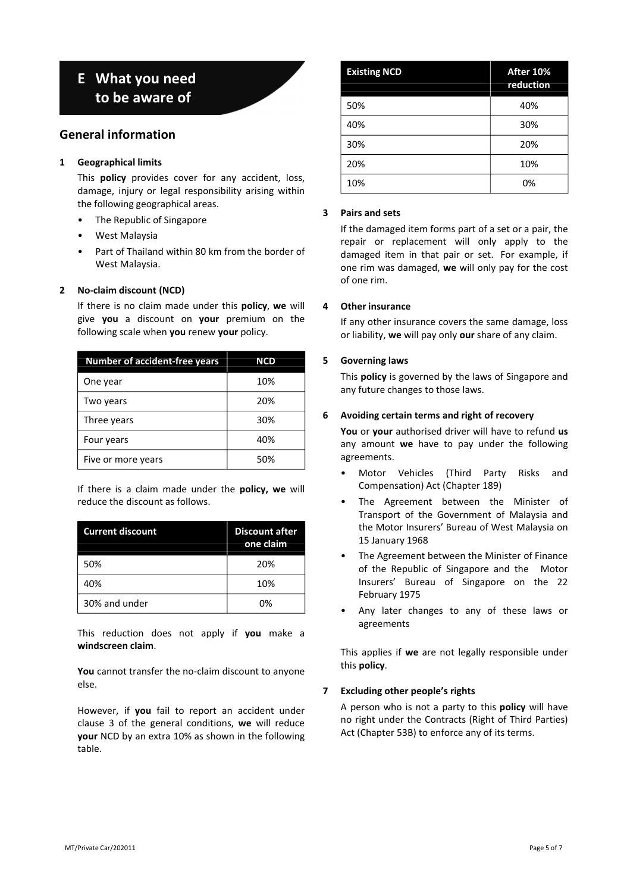# E What you need to be aware of

### General information

#### 1 Geographical limits

This **policy** provides cover for any accident, loss, damage, injury or legal responsibility arising within the following geographical areas.

- The Republic of Singapore
- West Malaysia
- Part of Thailand within 80 km from the border of West Malaysia.

#### 2 No-claim discount (NCD)

If there is no claim made under this policy, we will give you a discount on your premium on the following scale when you renew your policy.

| <b>Number of accident-free years</b> | <b>NCD</b> |
|--------------------------------------|------------|
| One year                             | 10%        |
| Two years                            | 20%        |
| Three years                          | 30%        |
| Four years                           | 40%        |
| Five or more years                   | 50%        |

If there is a claim made under the policy, we will reduce the discount as follows.

| <b>Current discount</b> | <b>Discount after</b><br>one claim |
|-------------------------|------------------------------------|
| 50%                     | 20%                                |
| 40%                     | 10%                                |
| 30% and under           | በ%                                 |

This reduction does not apply if you make a windscreen claim.

You cannot transfer the no-claim discount to anyone else.

However, if you fail to report an accident under clause 3 of the general conditions, we will reduce your NCD by an extra 10% as shown in the following table.

| <b>Existing NCD</b> | After 10%<br>reduction |
|---------------------|------------------------|
| 50%                 | 40%                    |
| 40%                 | 30%                    |
| 30%                 | 20%                    |
| 20%                 | 10%                    |
| 10%                 | 0%                     |

#### 3 Pairs and sets

If the damaged item forms part of a set or a pair, the repair or replacement will only apply to the damaged item in that pair or set. For example, if one rim was damaged, we will only pay for the cost of one rim.

#### 4 Other insurance

If any other insurance covers the same damage, loss or liability, we will pay only our share of any claim.

#### 5 Governing laws

This **policy** is governed by the laws of Singapore and any future changes to those laws.

#### 6 Avoiding certain terms and right of recovery

You or your authorised driver will have to refund us any amount we have to pay under the following agreements.

- Motor Vehicles (Third Party Risks and Compensation) Act (Chapter 189)
- The Agreement between the Minister of Transport of the Government of Malaysia and the Motor Insurers' Bureau of West Malaysia on 15 January 1968
- The Agreement between the Minister of Finance of the Republic of Singapore and the Motor Insurers' Bureau of Singapore on the 22 February 1975
- Any later changes to any of these laws or agreements

This applies if we are not legally responsible under this policy.

#### 7 Excluding other people's rights

A person who is not a party to this **policy** will have no right under the Contracts (Right of Third Parties) Act (Chapter 53B) to enforce any of its terms.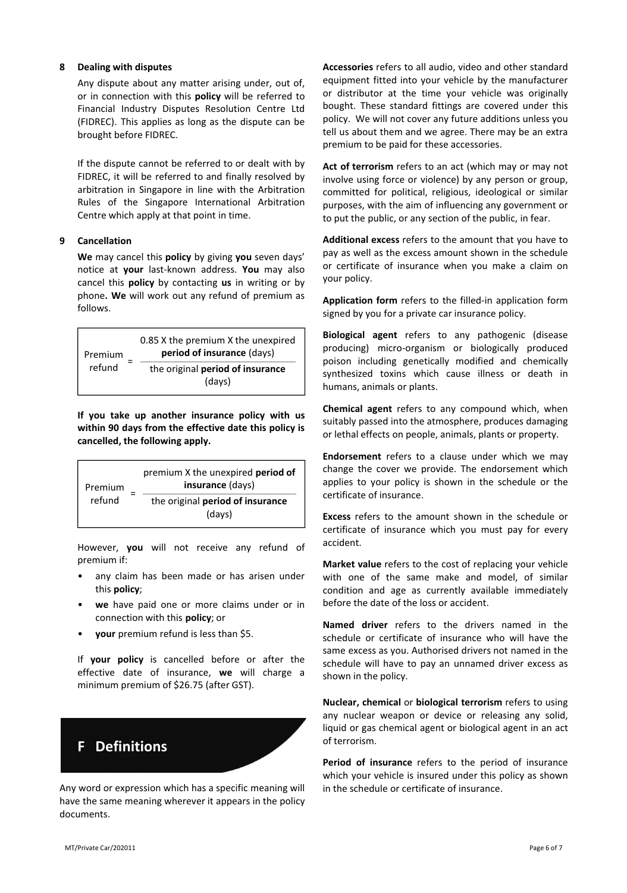#### 8 Dealing with disputes

Any dispute about any matter arising under, out of, or in connection with this policy will be referred to Financial Industry Disputes Resolution Centre Ltd (FIDREC). This applies as long as the dispute can be brought before FIDREC.

If the dispute cannot be referred to or dealt with by FIDREC, it will be referred to and finally resolved by arbitration in Singapore in line with the Arbitration Rules of the Singapore International Arbitration Centre which apply at that point in time.

#### 9 Cancellation

We may cancel this policy by giving you seven days' notice at your last-known address. You may also cancel this **policy** by contacting us in writing or by phone. We will work out any refund of premium as follows.

| Premium<br>refund | 0.85 X the premium X the unexpired<br><b>period of insurance (days)</b> |
|-------------------|-------------------------------------------------------------------------|
|                   | the original period of insurance<br>(days)                              |

If you take up another insurance policy with us within 90 days from the effective date this policy is cancelled, the following apply.



However, you will not receive any refund of premium if:

- any claim has been made or has arisen under this policy;
- we have paid one or more claims under or in connection with this policy; or
- your premium refund is less than \$5.

If your policy is cancelled before or after the effective date of insurance, we will charge a minimum premium of \$26.75 (after GST).



Any word or expression which has a specific meaning will have the same meaning wherever it appears in the policy documents.

Accessories refers to all audio, video and other standard equipment fitted into your vehicle by the manufacturer or distributor at the time your vehicle was originally bought. These standard fittings are covered under this policy. We will not cover any future additions unless you tell us about them and we agree. There may be an extra premium to be paid for these accessories.

Act of terrorism refers to an act (which may or may not involve using force or violence) by any person or group, committed for political, religious, ideological or similar purposes, with the aim of influencing any government or to put the public, or any section of the public, in fear.

Additional excess refers to the amount that you have to pay as well as the excess amount shown in the schedule or certificate of insurance when you make a claim on your policy.

Application form refers to the filled-in application form signed by you for a private car insurance policy.

Biological agent refers to any pathogenic (disease producing) micro-organism or biologically produced poison including genetically modified and chemically synthesized toxins which cause illness or death in humans, animals or plants.

Chemical agent refers to any compound which, when suitably passed into the atmosphere, produces damaging or lethal effects on people, animals, plants or property.

Endorsement refers to a clause under which we may change the cover we provide. The endorsement which applies to your policy is shown in the schedule or the certificate of insurance.

Excess refers to the amount shown in the schedule or certificate of insurance which you must pay for every accident.

Market value refers to the cost of replacing your vehicle with one of the same make and model, of similar condition and age as currently available immediately before the date of the loss or accident.

Named driver refers to the drivers named in the schedule or certificate of insurance who will have the same excess as you. Authorised drivers not named in the schedule will have to pay an unnamed driver excess as shown in the policy.

Nuclear, chemical or biological terrorism refers to using any nuclear weapon or device or releasing any solid, liquid or gas chemical agent or biological agent in an act of terrorism.

Period of insurance refers to the period of insurance which your vehicle is insured under this policy as shown in the schedule or certificate of insurance.